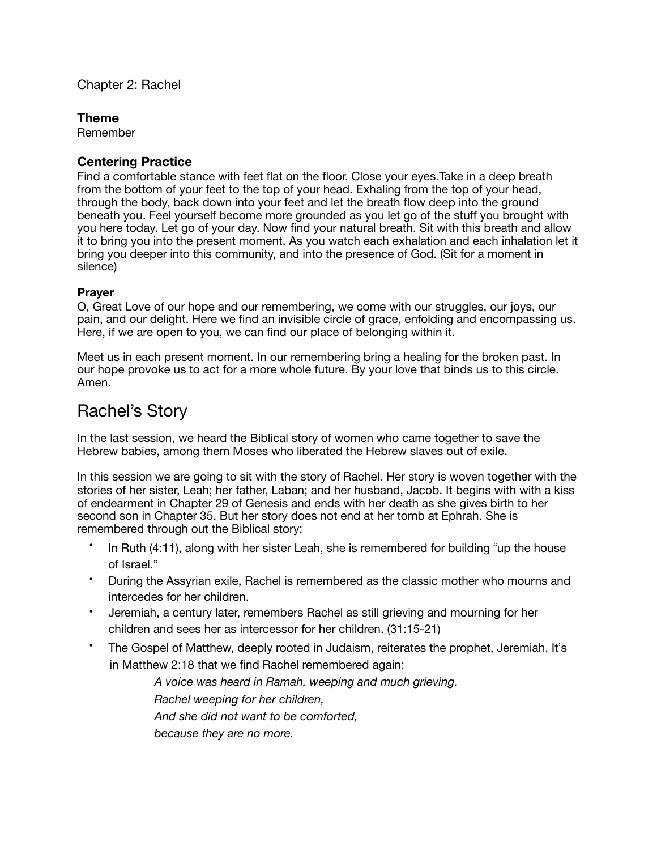Chapter 2: Rachel

### **Theme**

Remember

## **Centering Practice**

Find a comfortable stance with feet flat on the floor. Close your eyes.Take in a deep breath from the bottom of your feet to the top of your head. Exhaling from the top of your head, through the body, back down into your feet and let the breath flow deep into the ground beneath you. Feel yourself become more grounded as you let go of the stuff you brought with you here today. Let go of your day. Now find your natural breath. Sit with this breath and allow it to bring you into the present moment. As you watch each exhalation and each inhalation let it bring you deeper into this community, and into the presence of God. (Sit for a moment in silence)

### **Prayer**

O, Great Love of our hope and our remembering, we come with our struggles, our joys, our pain, and our delight. Here we find an invisible circle of grace, enfolding and encompassing us. Here, if we are open to you, we can find our place of belonging within it.

Meet us in each present moment. In our remembering bring a healing for the broken past. In our hope provoke us to act for a more whole future. By your love that binds us to this circle. Amen.

# Rachel's Story

In the last session, we heard the Biblical story of women who came together to save the Hebrew babies, among them Moses who liberated the Hebrew slaves out of exile.

In this session we are going to sit with the story of Rachel. Her story is woven together with the stories of her sister, Leah; her father, Laban; and her husband, Jacob. It begins with with a kiss of endearment in Chapter 29 of Genesis and ends with her death as she gives birth to her second son in Chapter 35. But her story does not end at her tomb at Ephrah. She is remembered through out the Biblical story:

- In Ruth (4:11), along with her sister Leah, she is remembered for building "up the house of Israel."
- During the Assyrian exile, Rachel is remembered as the classic mother who mourns and intercedes for her children.
- Jeremiah, a century later, remembers Rachel as still grieving and mourning for her children and sees her as intercessor for her children. (31:15-21)
- The Gospel of Matthew, deeply rooted in Judaism, reiterates the prophet, Jeremiah. It"s in Matthew 2:18 that we find Rachel remembered again:

 *A voice was heard in Ramah, weeping and much grieving. Rachel weeping for her children, And she did not want to be comforted, because they are no more.*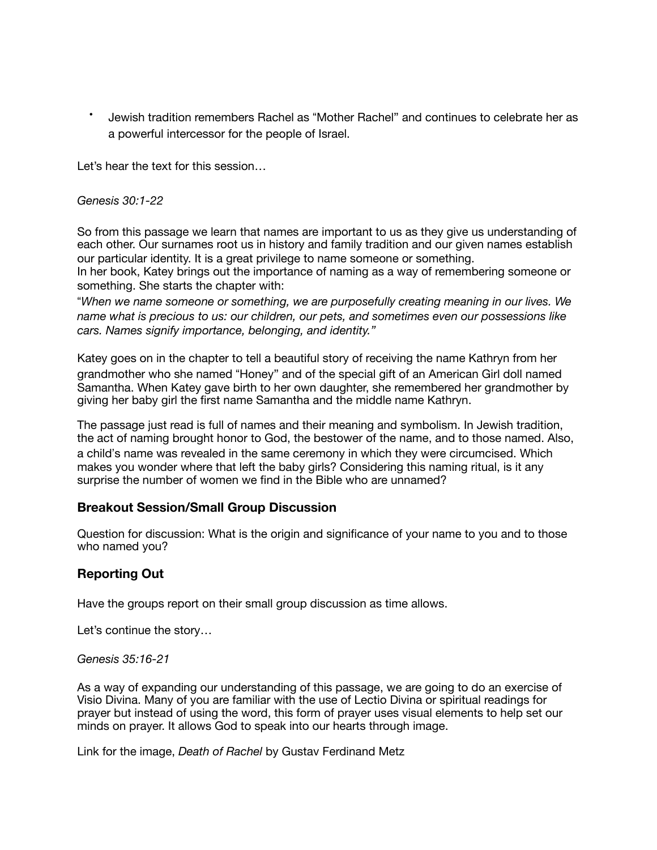• Jewish tradition remembers Rachel as !Mother Rachel" and continues to celebrate her as a powerful intercessor for the people of Israel.

Let's hear the text for this session…

#### *Genesis 30:1-22*

So from this passage we learn that names are important to us as they give us understanding of each other. Our surnames root us in history and family tradition and our given names establish our particular identity. It is a great privilege to name someone or something.

In her book, Katey brings out the importance of naming as a way of remembering someone or something. She starts the chapter with:

!*When we name someone or something, we are purposefully creating meaning in our lives. We name what is precious to us: our children, our pets, and sometimes even our possessions like cars. Names signify importance, belonging, and identity."* 

Katey goes on in the chapter to tell a beautiful story of receiving the name Kathryn from her grandmother who she named "Honey" and of the special gift of an American Girl doll named Samantha. When Katey gave birth to her own daughter, she remembered her grandmother by giving her baby girl the first name Samantha and the middle name Kathryn.

The passage just read is full of names and their meaning and symbolism. In Jewish tradition, the act of naming brought honor to God, the bestower of the name, and to those named. Also, a child"s name was revealed in the same ceremony in which they were circumcised. Which makes you wonder where that left the baby girls? Considering this naming ritual, is it any surprise the number of women we find in the Bible who are unnamed?

#### **Breakout Session/Small Group Discussion**

Question for discussion: What is the origin and significance of your name to you and to those who named you?

#### **Reporting Out**

Have the groups report on their small group discussion as time allows.

Let's continue the story…

*Genesis 35:16-21* 

As a way of expanding our understanding of this passage, we are going to do an exercise of Visio Divina. Many of you are familiar with the use of Lectio Divina or spiritual readings for prayer but instead of using the word, this form of prayer uses visual elements to help set our minds on prayer. It allows God to speak into our hearts through image.

Link for the image, *Death of Rachel* by Gustav Ferdinand Metz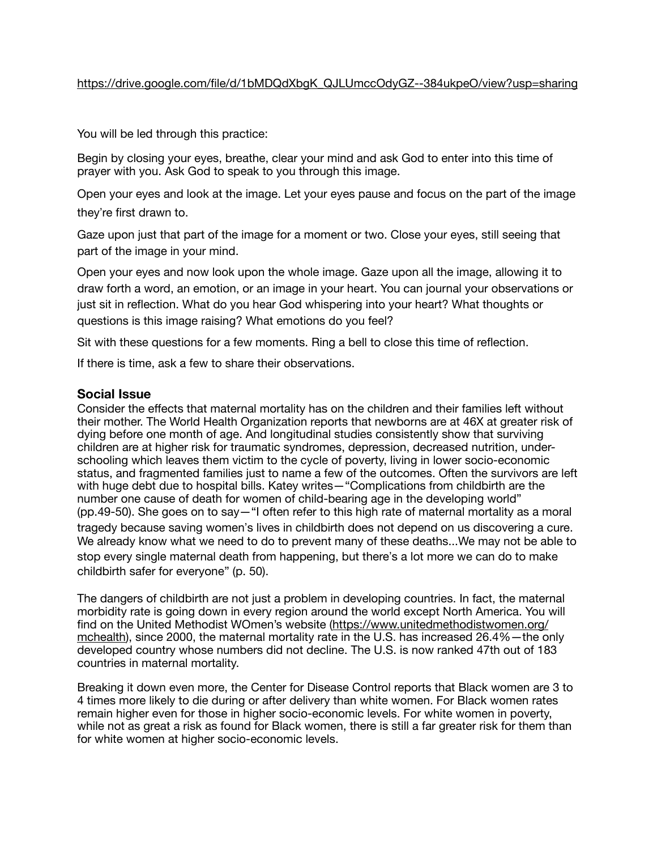#### [https://drive.google.com/file/d/1bMDQdXbgK\\_QJLUmccOdyGZ--384ukpeO/view?usp=sharing](https://drive.google.com/file/d/1bMDQdXbgK_QJLUmccOdyGZ--384ukpeO/view?usp=sharing)

You will be led through this practice:

Begin by closing your eyes, breathe, clear your mind and ask God to enter into this time of prayer with you. Ask God to speak to you through this image.

Open your eyes and look at the image. Let your eyes pause and focus on the part of the image they"re first drawn to.

Gaze upon just that part of the image for a moment or two. Close your eyes, still seeing that part of the image in your mind.

Open your eyes and now look upon the whole image. Gaze upon all the image, allowing it to draw forth a word, an emotion, or an image in your heart. You can journal your observations or just sit in reflection. What do you hear God whispering into your heart? What thoughts or questions is this image raising? What emotions do you feel?

Sit with these questions for a few moments. Ring a bell to close this time of reflection.

If there is time, ask a few to share their observations.

#### **Social Issue**

Consider the effects that maternal mortality has on the children and their families left without their mother. The World Health Organization reports that newborns are at 46X at greater risk of dying before one month of age. And longitudinal studies consistently show that surviving children are at higher risk for traumatic syndromes, depression, decreased nutrition, underschooling which leaves them victim to the cycle of poverty, living in lower socio-economic status, and fragmented families just to name a few of the outcomes. Often the survivors are left with huge debt due to hospital bills. Katey writes—"Complications from childbirth are the number one cause of death for women of child-bearing age in the developing world" (pp.49-50). She goes on to say—"I often refer to this high rate of maternal mortality as a moral tragedy because saving women"s lives in childbirth does not depend on us discovering a cure. We already know what we need to do to prevent many of these deaths...We may not be able to stop every single maternal death from happening, but there"s a lot more we can do to make childbirth safer for everyone" (p. 50).

The dangers of childbirth are not just a problem in developing countries. In fact, the maternal morbidity rate is going down in every region around the world except North America. You will find on the United Methodist WOmen's website ([https://www.unitedmethodistwomen.org/](https://www.unitedmethodistwomen.org/mchealth) [mchealth](https://www.unitedmethodistwomen.org/mchealth)), since 2000, the maternal mortality rate in the U.S. has increased 26.4%—the only developed country whose numbers did not decline. The U.S. is now ranked 47th out of 183 countries in maternal mortality.

Breaking it down even more, the Center for Disease Control reports that Black women are 3 to 4 times more likely to die during or after delivery than white women. For Black women rates remain higher even for those in higher socio-economic levels. For white women in poverty, while not as great a risk as found for Black women, there is still a far greater risk for them than for white women at higher socio-economic levels.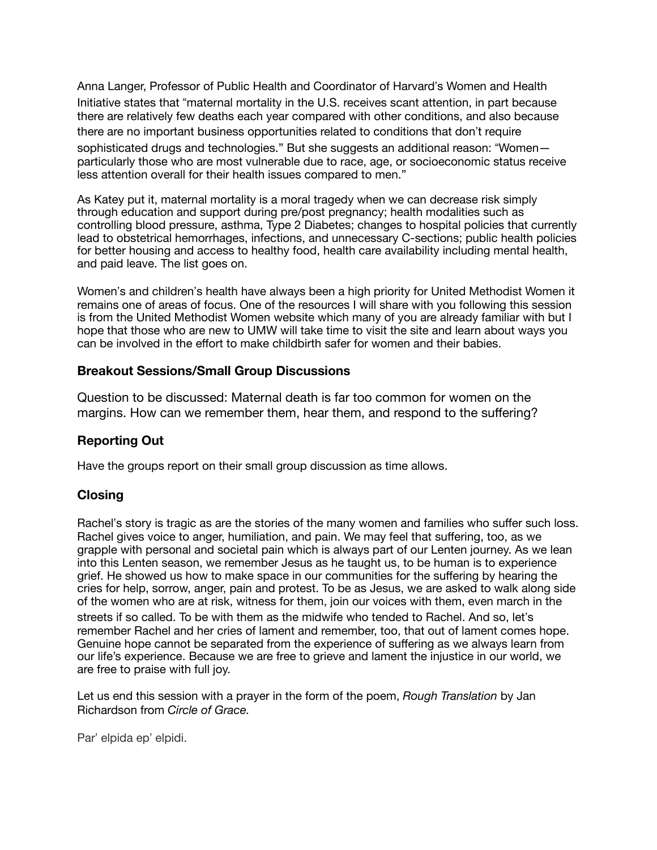Anna Langer, Professor of Public Health and Coordinator of Harvard"s Women and Health Initiative states that !maternal mortality in the U.S. receives scant attention, in part because there are relatively few deaths each year compared with other conditions, and also because there are no important business opportunities related to conditions that don"t require sophisticated drugs and technologies." But she suggests an additional reason: "Womenparticularly those who are most vulnerable due to race, age, or socioeconomic status receive less attention overall for their health issues compared to men."

As Katey put it, maternal mortality is a moral tragedy when we can decrease risk simply through education and support during pre/post pregnancy; health modalities such as controlling blood pressure, asthma, Type 2 Diabetes; changes to hospital policies that currently lead to obstetrical hemorrhages, infections, and unnecessary C-sections; public health policies for better housing and access to healthy food, health care availability including mental health, and paid leave. The list goes on.

Women"s and children"s health have always been a high priority for United Methodist Women it remains one of areas of focus. One of the resources I will share with you following this session is from the United Methodist Women website which many of you are already familiar with but I hope that those who are new to UMW will take time to visit the site and learn about ways you can be involved in the effort to make childbirth safer for women and their babies.

### **Breakout Sessions/Small Group Discussions**

Question to be discussed: Maternal death is far too common for women on the margins. How can we remember them, hear them, and respond to the suffering?

# **Reporting Out**

Have the groups report on their small group discussion as time allows.

# **Closing**

Rachel"s story is tragic as are the stories of the many women and families who suffer such loss. Rachel gives voice to anger, humiliation, and pain. We may feel that suffering, too, as we grapple with personal and societal pain which is always part of our Lenten journey. As we lean into this Lenten season, we remember Jesus as he taught us, to be human is to experience grief. He showed us how to make space in our communities for the suffering by hearing the cries for help, sorrow, anger, pain and protest. To be as Jesus, we are asked to walk along side of the women who are at risk, witness for them, join our voices with them, even march in the streets if so called. To be with them as the midwife who tended to Rachel. And so, let"s remember Rachel and her cries of lament and remember, too, that out of lament comes hope. Genuine hope cannot be separated from the experience of suffering as we always learn from our life's experience. Because we are free to grieve and lament the injustice in our world, we are free to praise with full joy.

Let us end this session with a prayer in the form of the poem, *Rough Translation* by Jan Richardson from *Circle of Grace.*

Par' elpida ep' elpidi.